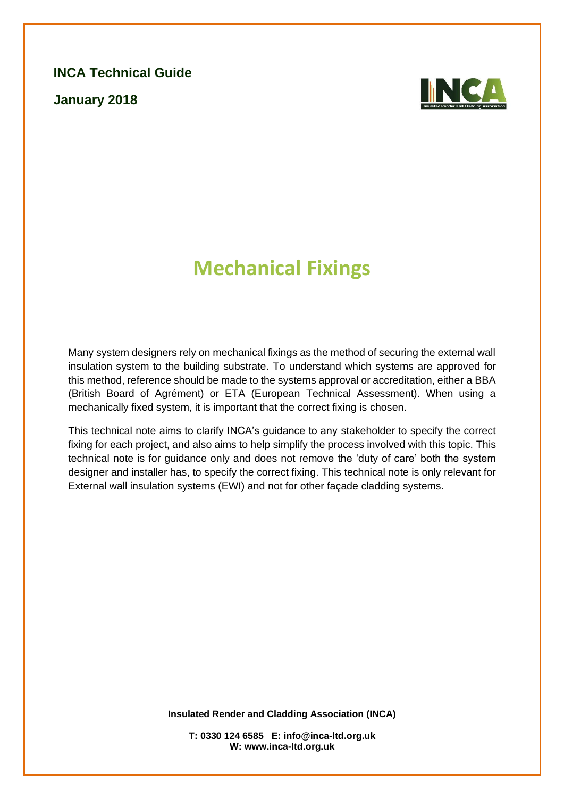**INCA Technical Guide**

**January 2018**



# **Mechanical Fixings**

Many system designers rely on mechanical fixings as the method of securing the external wall insulation system to the building substrate. To understand which systems are approved for this method, reference should be made to the systems approval or accreditation, either a BBA (British Board of Agrément) or ETA (European Technical Assessment). When using a mechanically fixed system, it is important that the correct fixing is chosen.

This technical note aims to clarify INCA's guidance to any stakeholder to specify the correct fixing for each project, and also aims to help simplify the process involved with this topic. This technical note is for guidance only and does not remove the 'duty of care' both the system designer and installer has, to specify the correct fixing. This technical note is only relevant for External wall insulation systems (EWI) and not for other façade cladding systems.

**Insulated Render and Cladding Association (INCA)**

**T: 0330 124 6585 E: info@inca-ltd.org.uk W: www.inca-ltd.org.uk**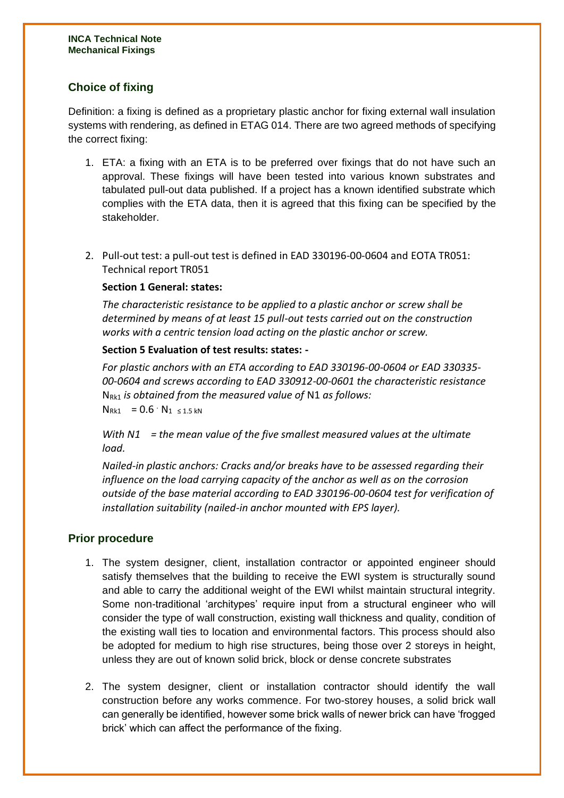## **Choice of fixing**

Definition: a fixing is defined as a proprietary plastic anchor for fixing external wall insulation systems with rendering, as defined in ETAG 014. There are two agreed methods of specifying the correct fixing:

- 1. ETA: a fixing with an ETA is to be preferred over fixings that do not have such an approval. These fixings will have been tested into various known substrates and tabulated pull-out data published. If a project has a known identified substrate which complies with the ETA data, then it is agreed that this fixing can be specified by the stakeholder.
- 2. Pull-out test: a pull-out test is defined in EAD 330196-00-0604 and EOTA TR051: Technical report TR051

#### **Section 1 General: states:**

*The characteristic resistance to be applied to a plastic anchor or screw shall be determined by means of at least 15 pull-out tests carried out on the construction works with a centric tension load acting on the plastic anchor or screw.*

#### **Section 5 Evaluation of test results: states: -**

*For plastic anchors with an ETA according to EAD 330196-00-0604 or EAD 330335- 00-0604 and screws according to EAD 330912-00-0601 the characteristic resistance*  NRk1 *is obtained from the measured value of* N1 *as follows:*   $N_{Rk1} = 0.6 \cdot N_{1 \leq 1.5 kN}$ 

*With N1 = the mean value of the five smallest measured values at the ultimate load.* 

*Nailed-in plastic anchors: Cracks and/or breaks have to be assessed regarding their influence on the load carrying capacity of the anchor as well as on the corrosion outside of the base material according to EAD 330196-00-0604 test for verification of installation suitability (nailed-in anchor mounted with EPS layer).*

#### **Prior procedure**

- 1. The system designer, client, installation contractor or appointed engineer should satisfy themselves that the building to receive the EWI system is structurally sound and able to carry the additional weight of the EWI whilst maintain structural integrity. Some non-traditional 'architypes' require input from a structural engineer who will consider the type of wall construction, existing wall thickness and quality, condition of the existing wall ties to location and environmental factors. This process should also be adopted for medium to high rise structures, being those over 2 storeys in height, unless they are out of known solid brick, block or dense concrete substrates
- 2. The system designer, client or installation contractor should identify the wall construction before any works commence. For two-storey houses, a solid brick wall can generally be identified, however some brick walls of newer brick can have 'frogged brick' which can affect the performance of the fixing.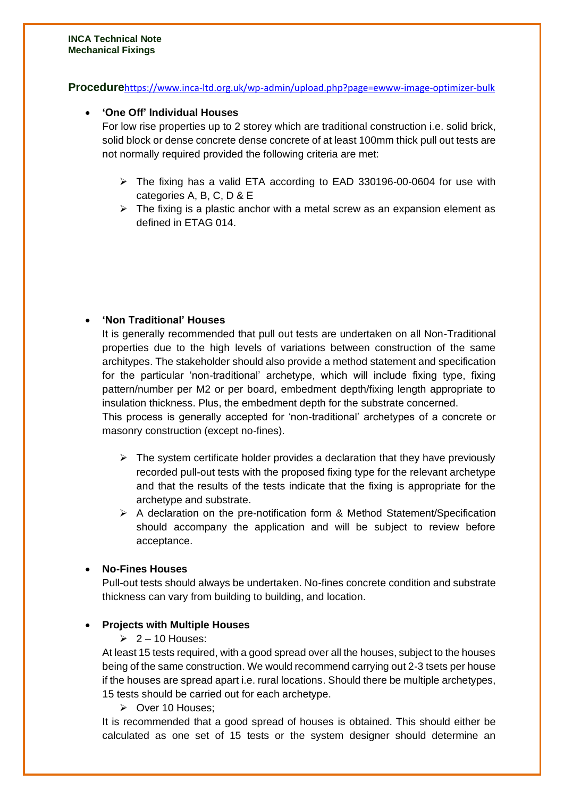**Procedure**<https://www.inca-ltd.org.uk/wp-admin/upload.php?page=ewww-image-optimizer-bulk>

#### • **'One Off' Individual Houses**

For low rise properties up to 2 storey which are traditional construction i.e. solid brick, solid block or dense concrete dense concrete of at least 100mm thick pull out tests are not normally required provided the following criteria are met:

- $\triangleright$  The fixing has a valid ETA according to EAD 330196-00-0604 for use with categories A, B, C, D & E
- $\triangleright$  The fixing is a plastic anchor with a metal screw as an expansion element as defined in ETAG 014.

#### • **'Non Traditional' Houses**

It is generally recommended that pull out tests are undertaken on all Non-Traditional properties due to the high levels of variations between construction of the same architypes. The stakeholder should also provide a method statement and specification for the particular 'non-traditional' archetype, which will include fixing type, fixing pattern/number per M2 or per board, embedment depth/fixing length appropriate to insulation thickness. Plus, the embedment depth for the substrate concerned.

This process is generally accepted for 'non-traditional' archetypes of a concrete or masonry construction (except no-fines).

- $\triangleright$  The system certificate holder provides a declaration that they have previously recorded pull-out tests with the proposed fixing type for the relevant archetype and that the results of the tests indicate that the fixing is appropriate for the archetype and substrate.
- ➢ A declaration on the pre-notification form & Method Statement/Specification should accompany the application and will be subject to review before acceptance.

#### • **No-Fines Houses**

Pull-out tests should always be undertaken. No-fines concrete condition and substrate thickness can vary from building to building, and location.

#### • **Projects with Multiple Houses**

#### $\geq 2 - 10$  Houses:

At least 15 tests required, with a good spread over all the houses, subject to the houses being of the same construction. We would recommend carrying out 2-3 tsets per house if the houses are spread apart i.e. rural locations. Should there be multiple archetypes, 15 tests should be carried out for each archetype.

#### ➢ Over 10 Houses;

It is recommended that a good spread of houses is obtained. This should either be calculated as one set of 15 tests or the system designer should determine an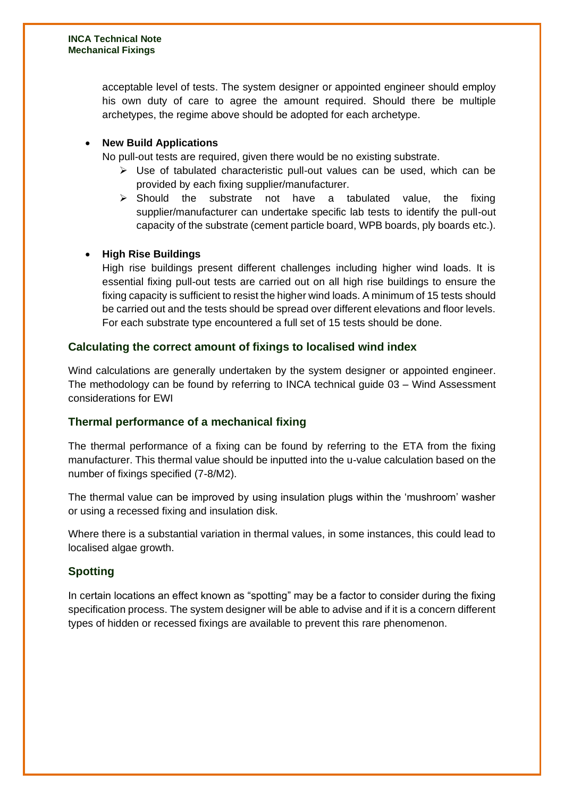acceptable level of tests. The system designer or appointed engineer should employ his own duty of care to agree the amount required. Should there be multiple archetypes, the regime above should be adopted for each archetype.

## • **New Build Applications**

No pull-out tests are required, given there would be no existing substrate.

- ➢ Use of tabulated characteristic pull-out values can be used, which can be provided by each fixing supplier/manufacturer.
- $\triangleright$  Should the substrate not have a tabulated value, the fixing supplier/manufacturer can undertake specific lab tests to identify the pull-out capacity of the substrate (cement particle board, WPB boards, ply boards etc.).

### • **High Rise Buildings**

High rise buildings present different challenges including higher wind loads. It is essential fixing pull-out tests are carried out on all high rise buildings to ensure the fixing capacity is sufficient to resist the higher wind loads. A minimum of 15 tests should be carried out and the tests should be spread over different elevations and floor levels. For each substrate type encountered a full set of 15 tests should be done.

## **Calculating the correct amount of fixings to localised wind index**

Wind calculations are generally undertaken by the system designer or appointed engineer. The methodology can be found by referring to INCA technical guide 03 – Wind Assessment considerations for EWI

## **Thermal performance of a mechanical fixing**

The thermal performance of a fixing can be found by referring to the ETA from the fixing manufacturer. This thermal value should be inputted into the u-value calculation based on the number of fixings specified (7-8/M2).

The thermal value can be improved by using insulation plugs within the 'mushroom' washer or using a recessed fixing and insulation disk.

Where there is a substantial variation in thermal values, in some instances, this could lead to localised algae growth.

## **Spotting**

In certain locations an effect known as "spotting" may be a factor to consider during the fixing specification process. The system designer will be able to advise and if it is a concern different types of hidden or recessed fixings are available to prevent this rare phenomenon.